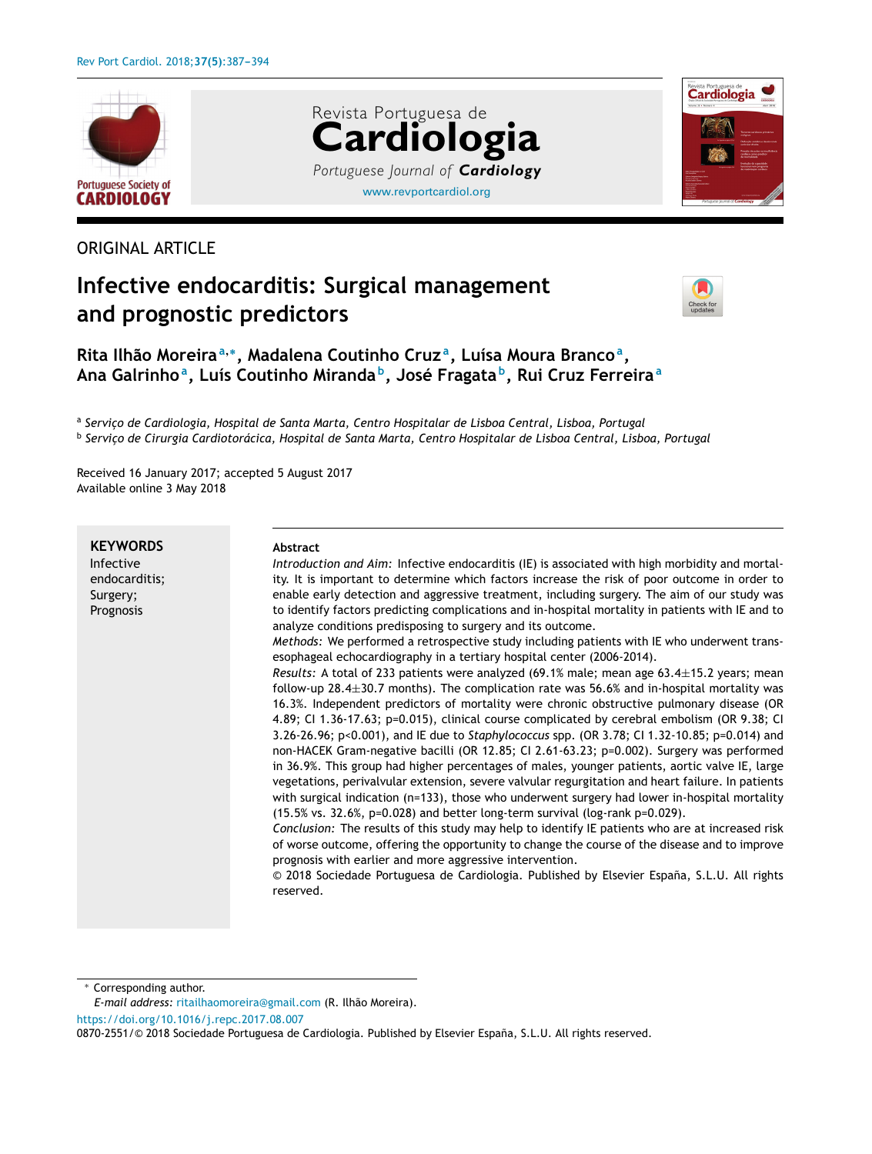

# ORIGINAL ARTICLE

# **Infective endocarditis: Surgical management and prognostic predictors**



Cardiologia

**Rita Ilhão Moreira<sup>a</sup>**,<sup>∗</sup> **, Madalena Coutinho Cruz <sup>a</sup> , Luísa Moura Branco<sup>a</sup> , Ana Galrinho<sup>a</sup> , Luís Coutinho Miranda <sup>b</sup> , José Fragata <sup>b</sup> , Rui Cruz Ferreira<sup>a</sup>**

a *Servic¸o de Cardiologia, Hospital de Santa Marta, Centro Hospitalar de Lisboa Central, Lisboa, Portugal* b *Servic¸o de Cirurgia Cardiotorácica, Hospital de Santa Marta, Centro Hospitalar de Lisboa Central, Lisboa, Portugal*

[www.revportcardiol.org](http://www.revportcardiol.org)

*Portuguese Journal of Cardiology*

**Cardiologia**

Revista Portuguesa de

Received 16 January 2017; accepted 5 August 2017 Available online 3 May 2018

**KEYWORDS** Infective endocarditis; Surgery; Prognosis

#### **Abstract**

*Introduction and Aim:* Infective endocarditis (IE) is associated with high morbidity and mortality. It is important to determine which factors increase the risk of poor outcome in order to enable early detection and aggressive treatment, including surgery. The aim of our study was to identify factors predicting complications and in-hospital mortality in patients with IE and to analyze conditions predisposing to surgery and its outcome.

*Methods:* We performed a retrospective study including patients with IE who underwent transesophageal echocardiography in a tertiary hospital center (2006-2014).

*Results:* A total of 233 patients were analyzed (69.1% male; mean age 63.4±15.2 years; mean follow-up 28.4±30.7 months). The complication rate was 56.6% and in-hospital mortality was 16.3%. Independent predictors of mortality were chronic obstructive pulmonary disease (OR 4.89; CI 1.36-17.63; p=0.015), clinical course complicated by cerebral embolism (OR 9.38; CI 3.26-26.96; p<0.001), and IE due to *Staphylococcus* spp. (OR 3.78; CI 1.32-10.85; p=0.014) and non-HACEK Gram-negative bacilli (OR 12.85; CI 2.61-63.23; p=0.002). Surgery was performed in 36.9%. This group had higher percentages of males, younger patients, aortic valve IE, large vegetations, perivalvular extension, severe valvular regurgitation and heart failure. In patients with surgical indication (n=133), those who underwent surgery had lower in-hospital mortality (15.5% vs. 32.6%, p=0.028) and better long-term survival (log-rank p=0.029).

*Conclusion:* The results of this study may help to identify IE patients who are at increased risk of worse outcome, offering the opportunity to change the course of the disease and to improve prognosis with earlier and more aggressive intervention.

© 2018 Sociedade Portuguesa de Cardiologia. Published by Elsevier España, S.L.U. All rights reserved.

Corresponding author.

<https://doi.org/10.1016/j.repc.2017.08.007>

*E-mail address:* [ritailhaomoreira@gmail.com](mailto:ritailhaomoreira@gmail.com) (R. Ilhão Moreira).

<sup>0870-2551/© 2018</sup> Sociedade Portuguesa de Cardiologia. Published by Elsevier España, S.L.U. All rights reserved.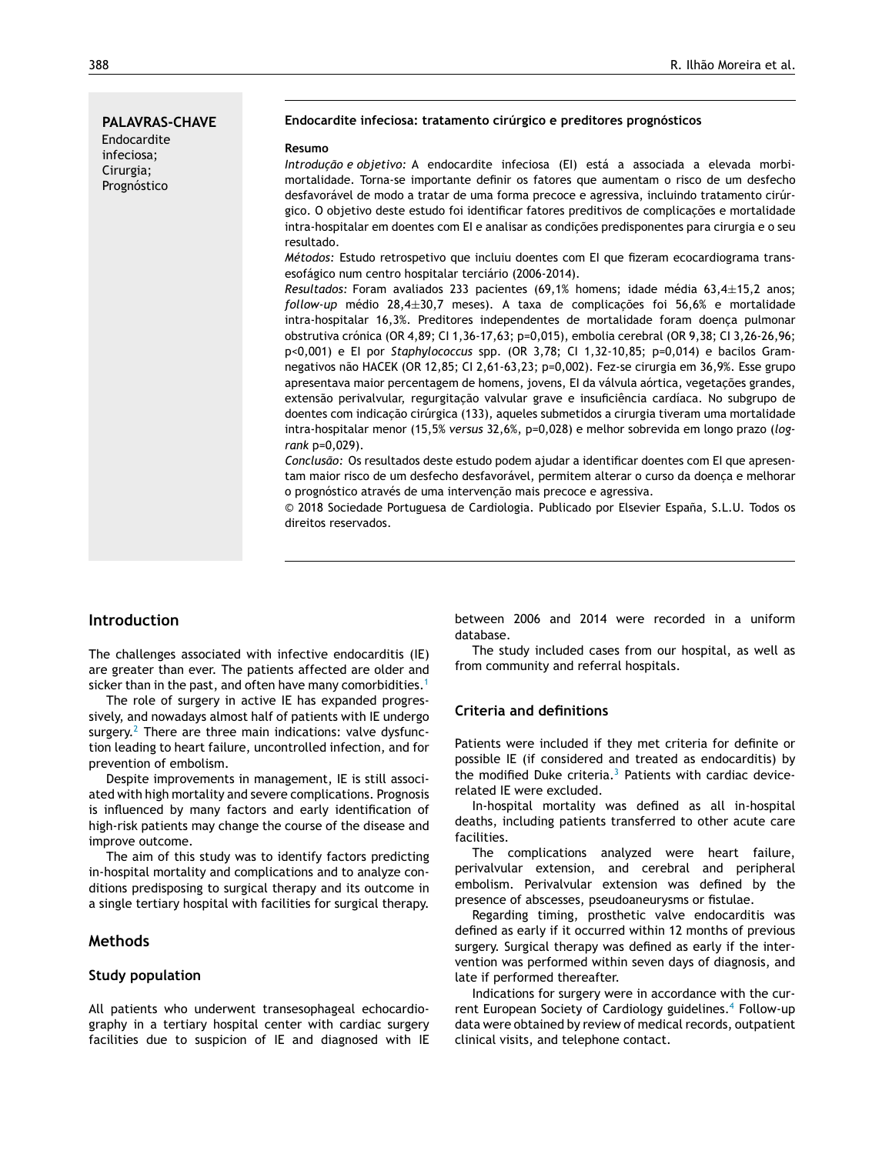# **PALAVRAS-CHAVE** Endocardite infeciosa; Cirurgia; Prognóstico

#### **Endocardite infeciosa: tratamento cirúrgico e preditores prognósticos**

#### **Resumo**

*Introduc¸ão e objetivo:* A endocardite infeciosa (EI) está a associada a elevada morbimortalidade. Torna-se importante definir os fatores que aumentam o risco de um desfecho desfavorável de modo a tratar de uma forma precoce e agressiva, incluindo tratamento cirúrgico. O objetivo deste estudo foi identificar fatores preditivos de complicações e mortalidade intra-hospitalar em doentes com EI e analisar as condições predisponentes para cirurgia e o seu resultado.

*Métodos:* Estudo retrospetivo que incluiu doentes com EI que fizeram ecocardiograma transesofágico num centro hospitalar terciário (2006-2014).

*Resultados:* Foram avaliados 233 pacientes (69,1% homens; idade média 63,4±15,2 anos; *follow-up* médio 28,4±30,7 meses). A taxa de complicações foi 56,6% e mortalidade intra-hospitalar 16,3%. Preditores independentes de mortalidade foram doenca pulmonar obstrutiva crónica (OR 4,89; CI 1,36-17,63; p=0,015), embolia cerebral (OR 9,38; CI 3,26-26,96; p<0,001) e EI por *Staphylococcus* spp. (OR 3,78; CI 1,32-10,85; p=0,014) e bacilos Gramnegativos não HACEK (OR 12,85; CI 2,61-63,23; p=0,002). Fez-se cirurgia em 36,9%. Esse grupo apresentava maior percentagem de homens, jovens, EI da válvula aórtica, vegetações grandes, extensão perivalvular, regurgitação valvular grave e insuficiência cardíaca. No subgrupo de doentes com indicação cirúrgica (133), aqueles submetidos a cirurgia tiveram uma mortalidade intra-hospitalar menor (15,5% *versus* 32,6%, p=0,028) e melhor sobrevida em longo prazo (*logrank* p=0,029).

*Conclusão:* Os resultados deste estudo podem ajudar a identificar doentes com EI que apresentam maior risco de um desfecho desfavorável, permitem alterar o curso da doença e melhorar o prognóstico através de uma intervenção mais precoce e agressiva.

© 2018 Sociedade Portuguesa de Cardiologia. Publicado por Elsevier España, S.L.U. Todos os direitos reservados.

# **Introduction**

The challenges associated with infective endocarditis (IE) are greater than ever. The patients affected are older and sicker than in the past, and often have many comorbidities.<sup>[1](#page-6-0)</sup>

The role of surgery in active IE has expanded progressively, and nowadays almost half of patients with IE undergo surgery. $2$  There are three main indications: valve dysfunction leading to heart failure, uncontrolled infection, and for prevention of embolism.

Despite improvements in management, IE is still associated with high mortality and severe complications. Prognosis is influenced by many factors and early identification of high-risk patients may change the course of the disease and improve outcome.

The aim of this study was to identify factors predicting in-hospital mortality and complications and to analyze conditions predisposing to surgical therapy and its outcome in a single tertiary hospital with facilities for surgical therapy.

## **Methods**

#### **Study population**

All patients who underwent transesophageal echocardiography in a tertiary hospital center with cardiac surgery facilities due to suspicion of IE and diagnosed with IE between 2006 and 2014 were recorded in a uniform database.

The study included cases from our hospital, as well as from community and referral hospitals.

### **Criteria and definitions**

Patients were included if they met criteria for definite or possible IE (if considered and treated as endocarditis) by the modified Duke criteria. $3$  Patients with cardiac devicerelated IE were excluded.

In-hospital mortality was defined as all in-hospital deaths, including patients transferred to other acute care facilities.

The complications analyzed were heart failure, perivalvular extension, and cerebral and peripheral embolism. Perivalvular extension was defined by the presence of abscesses, pseudoaneurysms or fistulae.

Regarding timing, prosthetic valve endocarditis was defined as early if it occurred within 12 months of previous surgery. Surgical therapy was defined as early if the intervention was performed within seven days of diagnosis, and late if performed thereafter.

Indications for surgery were in accordance with the current European Society of Cardiology guidelines.[4](#page-6-0) Follow-up data were obtained by review of medical records, outpatient clinical visits, and telephone contact.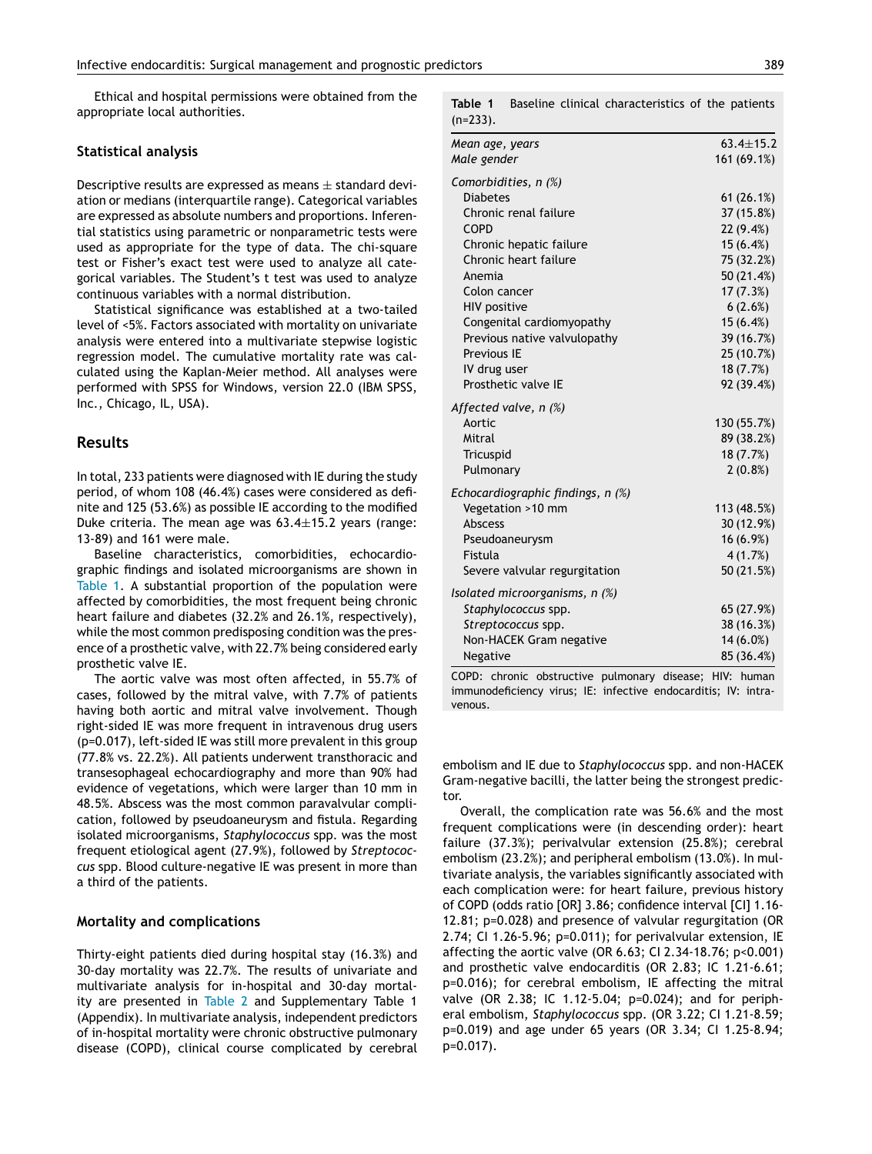Ethical and hospital permissions were obtained from the appropriate local authorities.

#### **Statistical analysis**

Descriptive results are expressed as means  $\pm$  standard deviation or medians (interquartile range). Categorical variables are expressed as absolute numbers and proportions. Inferential statistics using parametric or nonparametric tests were used as appropriate for the type of data. The chi-square test or Fisher's exact test were used to analyze all categorical variables. The Student's t test was used to analyze continuous variables with a normal distribution.

Statistical significance was established at a two-tailed level of <5%. Factors associated with mortality on univariate analysis were entered into a multivariate stepwise logistic regression model. The cumulative mortality rate was calculated using the Kaplan-Meier method. All analyses were performed with SPSS for Windows, version 22.0 (IBM SPSS, Inc., Chicago, IL, USA).

## **Results**

In total, 233 patients were diagnosed with IE during the study period, of whom 108 (46.4%) cases were considered as definite and 125 (53.6%) as possible IE according to the modified Duke criteria. The mean age was  $63.4 \pm 15.2$  years (range: 13-89) and 161 were male.

Baseline characteristics, comorbidities, echocardiographic findings and isolated microorganisms are shown in Table 1. A substantial proportion of the population were affected by comorbidities, the most frequent being chronic heart failure and diabetes (32.2% and 26.1%, respectively), while the most common predisposing condition was the presence of a prosthetic valve, with 22.7% being considered early prosthetic valve IE.

The aortic valve was most often affected, in 55.7% of cases, followed by the mitral valve, with 7.7% of patients having both aortic and mitral valve involvement. Though right-sided IE was more frequent in intravenous drug users (p=0.017), left-sided IE was still more prevalent in this group (77.8% vs. 22.2%). All patients underwent transthoracic and transesophageal echocardiography and more than 90% had evidence of vegetations, which were larger than 10 mm in 48.5%. Abscess was the most common paravalvular complication, followed by pseudoaneurysm and fistula. Regarding isolated microorganisms, *Staphylococcus* spp. was the most frequent etiological agent (27.9%), followed by *Streptococcus* spp. Blood culture-negative IE was present in more than a third of the patients.

#### **Mortality and complications**

Thirty-eight patients died during hospital stay (16.3%) and 30-day mortality was 22.7%. The results of univariate and multivariate analysis for in-hospital and 30-day mortality are presented in [Table](#page-3-0) 2 and Supplementary Table 1 (Appendix). In multivariate analysis, independent predictors of in-hospital mortality were chronic obstructive pulmonary disease (COPD), clinical course complicated by cerebral **Table 1** Baseline clinical characteristics of the patients  $(n=233)$ .

| Mean age, years                   | $63.4 + 15.2$ |
|-----------------------------------|---------------|
| Male gender                       | 161 (69.1%)   |
| Comorbidities, n (%)              |               |
| <b>Diabetes</b>                   | 61(26.1%)     |
| Chronic renal failure             | 37 (15.8%)    |
| COPD                              | 22 (9.4%)     |
| Chronic hepatic failure           | 15(6.4%)      |
| Chronic heart failure             | 75 (32.2%)    |
| Anemia                            | 50 (21.4%)    |
| Colon cancer                      | 17(7.3%)      |
| <b>HIV positive</b>               | 6(2.6%)       |
| Congenital cardiomyopathy         | 15(6.4%)      |
| Previous native valvulopathy      | 39 (16.7%)    |
| Previous IE                       | 25 (10.7%)    |
| IV drug user                      | 18(7.7%)      |
| Prosthetic valve IE               | 92 (39.4%)    |
| Affected valve, n (%)             |               |
| Aortic                            | 130 (55.7%)   |
| Mitral                            | 89 (38.2%)    |
| Tricuspid                         | 18 (7.7%)     |
| Pulmonary                         | $2(0.8\%)$    |
| Echocardiographic findings, n (%) |               |
| Vegetation >10 mm                 | 113 (48.5%)   |
| <b>Abscess</b>                    | 30 (12.9%)    |
| Pseudoaneurysm                    | $16(6.9\%)$   |
| Fistula                           | 4(1.7%)       |
| Severe valvular regurgitation     | 50 (21.5%)    |
| Isolated microorganisms, n (%)    |               |
| Staphylococcus spp.               | 65 (27.9%)    |
| Streptococcus spp.                | 38 (16.3%)    |
| Non-HACEK Gram negative           | $14(6.0\%)$   |
| Negative                          | 85 (36.4%)    |

COPD: chronic obstructive pulmonary disease; HIV: human immunodeficiency virus; IE: infective endocarditis; IV: intravenous.

embolism and IE due to *Staphylococcus* spp. and non-HACEK Gram-negative bacilli, the latter being the strongest predictor.

Overall, the complication rate was 56.6% and the most frequent complications were (in descending order): heart failure (37.3%); perivalvular extension (25.8%); cerebral embolism (23.2%); and peripheral embolism (13.0%). In multivariate analysis, the variables significantly associated with each complication were: for heart failure, previous history of COPD (odds ratio [OR] 3.86; confidence interval [CI] 1.16- 12.81; p=0.028) and presence of valvular regurgitation (OR 2.74; CI 1.26-5.96; p=0.011); for perivalvular extension, IE affecting the aortic valve (OR 6.63; CI 2.34-18.76; p<0.001) and prosthetic valve endocarditis (OR 2.83; IC 1.21-6.61; p=0.016); for cerebral embolism, IE affecting the mitral valve (OR 2.38; IC 1.12-5.04; p=0.024); and for peripheral embolism, *Staphylococcus* spp. (OR 3.22; CI 1.21-8.59; p=0.019) and age under 65 years (OR 3.34; CI 1.25-8.94; p=0.017).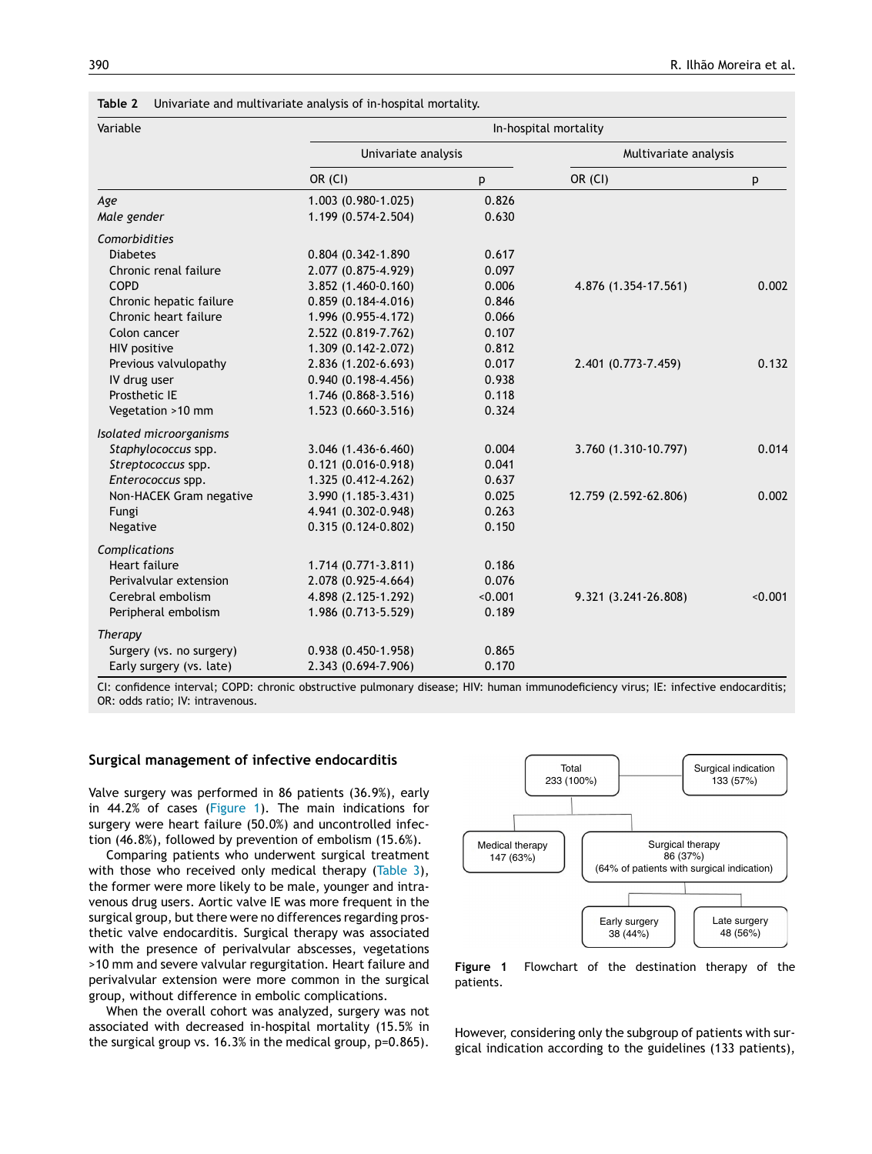| Variable                 | In-hospital mortality  |         |                       |         |
|--------------------------|------------------------|---------|-----------------------|---------|
|                          | Univariate analysis    |         | Multivariate analysis |         |
|                          | OR (CI)                | p       | OR (CI)               | p       |
| Age                      | 1.003 (0.980-1.025)    | 0.826   |                       |         |
| Male gender              | 1.199 (0.574-2.504)    | 0.630   |                       |         |
| Comorbidities            |                        |         |                       |         |
| <b>Diabetes</b>          | 0.804 (0.342-1.890     | 0.617   |                       |         |
| Chronic renal failure    | 2.077 (0.875-4.929)    | 0.097   |                       |         |
| COPD                     | 3.852 (1.460-0.160)    | 0.006   | 4.876 (1.354-17.561)  | 0.002   |
| Chronic hepatic failure  | $0.859(0.184 - 4.016)$ | 0.846   |                       |         |
| Chronic heart failure    | 1.996 (0.955-4.172)    | 0.066   |                       |         |
| Colon cancer             | 2.522 (0.819-7.762)    | 0.107   |                       |         |
| HIV positive             | 1.309 (0.142-2.072)    | 0.812   |                       |         |
| Previous valvulopathy    | 2.836 (1.202-6.693)    | 0.017   | 2.401 (0.773-7.459)   | 0.132   |
| IV drug user             | $0.940(0.198 - 4.456)$ | 0.938   |                       |         |
| Prosthetic IE            | 1.746 (0.868-3.516)    | 0.118   |                       |         |
| Vegetation >10 mm        | 1.523 (0.660-3.516)    | 0.324   |                       |         |
| Isolated microorganisms  |                        |         |                       |         |
| Staphylococcus spp.      | 3.046 (1.436-6.460)    | 0.004   | 3.760 (1.310-10.797)  | 0.014   |
| Streptococcus spp.       | $0.121(0.016 - 0.918)$ | 0.041   |                       |         |
| Enterococcus spp.        | 1.325 (0.412-4.262)    | 0.637   |                       |         |
| Non-HACEK Gram negative  | 3.990 (1.185-3.431)    | 0.025   | 12.759 (2.592-62.806) | 0.002   |
| Fungi                    | 4.941 (0.302-0.948)    | 0.263   |                       |         |
| Negative                 | $0.315(0.124-0.802)$   | 0.150   |                       |         |
| Complications            |                        |         |                       |         |
| Heart failure            | 1.714 (0.771-3.811)    | 0.186   |                       |         |
| Perivalvular extension   | 2.078 (0.925-4.664)    | 0.076   |                       |         |
| Cerebral embolism        | 4.898 (2.125-1.292)    | < 0.001 | 9.321 (3.241-26.808)  | < 0.001 |
| Peripheral embolism      | 1.986 (0.713-5.529)    | 0.189   |                       |         |
| Therapy                  |                        |         |                       |         |
| Surgery (vs. no surgery) | $0.938(0.450-1.958)$   | 0.865   |                       |         |
| Early surgery (vs. late) | 2.343 (0.694-7.906)    | 0.170   |                       |         |

<span id="page-3-0"></span>**Table 2** Univariate and multivariate analysis of in-hospital mortality.

CI: confidence interval; COPD: chronic obstructive pulmonary disease; HIV: human immunodeficiency virus; IE: infective endocarditis; OR: odds ratio; IV: intravenous.

#### **Surgical management of infective endocarditis**

Valve surgery was performed in 86 patients (36.9%), early in 44.2% of cases (Figure 1). The main indications for surgery were heart failure (50.0%) and uncontrolled infection (46.8%), followed by prevention of embolism (15.6%).

Comparing patients who underwent surgical treatment with those who received only medical therapy [\(Table](#page-4-0) 3), the former were more likely to be male, younger and intravenous drug users. Aortic valve IE was more frequent in the surgical group, but there were no differences regarding prosthetic valve endocarditis. Surgical therapy was associated with the presence of perivalvular abscesses, vegetations >10 mm and severe valvular regurgitation. Heart failure and perivalvular extension were more common in the surgical group, without difference in embolic complications.

When the overall cohort was analyzed, surgery was not associated with decreased in-hospital mortality (15.5% in the surgical group vs. 16.3% in the medical group, p=0.865).



**Figure 1** Flowchart of the destination therapy of the patients.

However, considering only the subgroup of patients with surgical indication according to the guidelines (133 patients),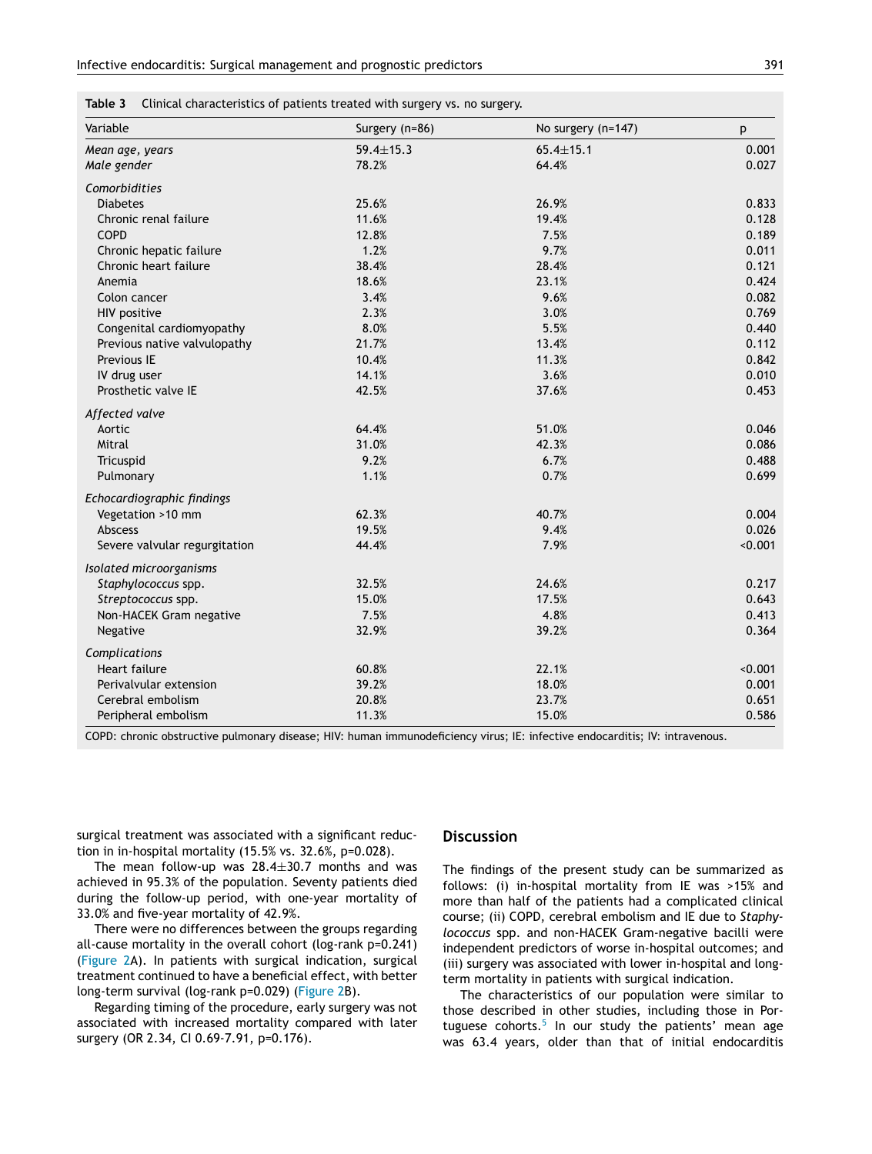<span id="page-4-0"></span>

| Variable                      | Surgery (n=86)  | No surgery (n=147) | p       |
|-------------------------------|-----------------|--------------------|---------|
| Mean age, years               | $59.4 \pm 15.3$ | $65.4 \pm 15.1$    | 0.001   |
| Male gender                   | 78.2%           | 64.4%              | 0.027   |
| Comorbidities                 |                 |                    |         |
| <b>Diabetes</b>               | 25.6%           | 26.9%              | 0.833   |
| Chronic renal failure         | 11.6%           | 19.4%              | 0.128   |
| COPD                          | 12.8%           | 7.5%               | 0.189   |
| Chronic hepatic failure       | 1.2%            | 9.7%               | 0.011   |
| Chronic heart failure         | 38.4%           | 28.4%              | 0.121   |
| Anemia                        | 18.6%           | 23.1%              | 0.424   |
| Colon cancer                  | 3.4%            | 9.6%               | 0.082   |
| <b>HIV positive</b>           | 2.3%            | 3.0%               | 0.769   |
| Congenital cardiomyopathy     | 8.0%            | 5.5%               | 0.440   |
| Previous native valvulopathy  | 21.7%           | 13.4%              | 0.112   |
| Previous IE                   | 10.4%           | 11.3%              | 0.842   |
| IV drug user                  | 14.1%           | 3.6%               | 0.010   |
| Prosthetic valve IE           | 42.5%           | 37.6%              | 0.453   |
| Affected valve                |                 |                    |         |
| Aortic                        | 64.4%           | 51.0%              | 0.046   |
| Mitral                        | 31.0%           | 42.3%              | 0.086   |
| Tricuspid                     | 9.2%            | 6.7%               | 0.488   |
| Pulmonary                     | 1.1%            | 0.7%               | 0.699   |
| Echocardiographic findings    |                 |                    |         |
| Vegetation >10 mm             | 62.3%           | 40.7%              | 0.004   |
| Abscess                       | 19.5%           | 9.4%               | 0.026   |
| Severe valvular regurgitation | 44.4%           | 7.9%               | < 0.001 |
| Isolated microorganisms       |                 |                    |         |
| Staphylococcus spp.           | 32.5%           | 24.6%              | 0.217   |
| Streptococcus spp.            | 15.0%           | 17.5%              | 0.643   |
| Non-HACEK Gram negative       | 7.5%            | 4.8%               | 0.413   |
| Negative                      | 32.9%           | 39.2%              | 0.364   |
| Complications                 |                 |                    |         |
| <b>Heart failure</b>          | 60.8%           | 22.1%              | < 0.001 |
| Perivalvular extension        | 39.2%           | 18.0%              | 0.001   |
| Cerebral embolism             | 20.8%           | 23.7%              | 0.651   |
| Peripheral embolism           | 11.3%           | 15.0%              | 0.586   |

COPD: chronic obstructive pulmonary disease; HIV: human immunodeficiency virus; IE: infective endocarditis; IV: intravenous.

surgical treatment was associated with a significant reduction in in-hospital mortality (15.5% vs. 32.6%, p=0.028).

The mean follow-up was  $28.4 \pm 30.7$  months and was achieved in 95.3% of the population. Seventy patients died during the follow-up period, with one-year mortality of 33.0% and five-year mortality of 42.9%.

There were no differences between the groups regarding all-cause mortality in the overall cohort (log-rank p=0.241) ([Figure](#page-5-0) 2A). In patients with surgical indication, surgical treatment continued to have a beneficial effect, with better long-term survival (log-rank p=0.029) [\(Figure](#page-5-0) 2B).

Regarding timing of the procedure, early surgery was not associated with increased mortality compared with later surgery (OR 2.34, CI 0.69-7.91, p=0.176).

#### **Discussion**

The findings of the present study can be summarized as follows: (i) in-hospital mortality from IE was >15% and more than half of the patients had a complicated clinical course; (ii) COPD, cerebral embolism and IE due to *Staphylococcus* spp. and non-HACEK Gram-negative bacilli were independent predictors of worse in-hospital outcomes; and (iii) surgery was associated with lower in-hospital and longterm mortality in patients with surgical indication.

The characteristics of our population were similar to those described in other studies, including those in Por-tuguese cohorts.<sup>[5](#page-6-0)</sup> In our study the patients' mean age was 63.4 years, older than that of initial endocarditis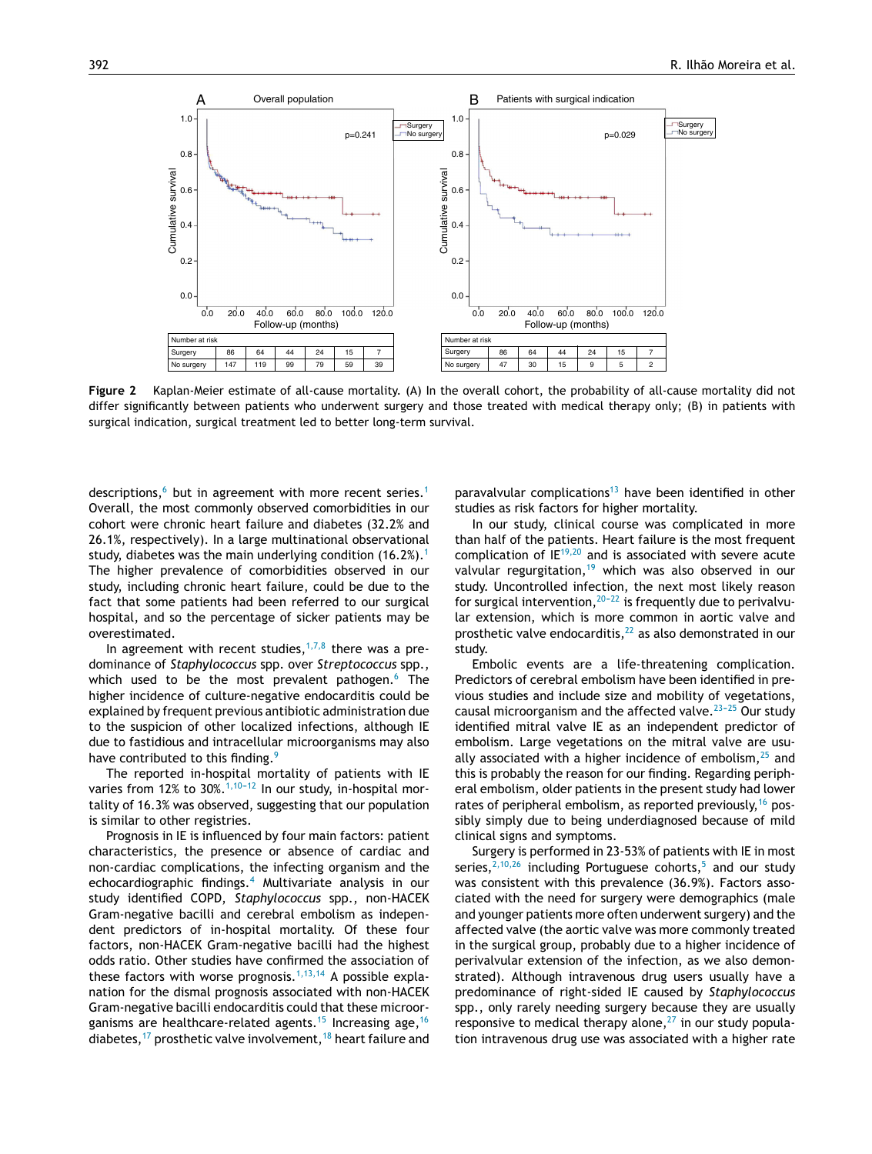<span id="page-5-0"></span>

**Figure 2** Kaplan-Meier estimate of all-cause mortality. (A) In the overall cohort, the probability of all-cause mortality did not differ significantly between patients who underwent surgery and those treated with medical therapy only; (B) in patients with surgical indication, surgical treatment led to better long-term survival.

descriptions, $6$  but in agreement with more recent series.<sup>[1](#page-6-0)</sup> Overall, the most commonly observed comorbidities in our cohort were chronic heart failure and diabetes (32.2% and 26.1%, respectively). In a large multinational observational study, diabetes was the main underlying condition ([1](#page-6-0)6.2%).<sup>1</sup> The higher prevalence of comorbidities observed in our study, including chronic heart failure, could be due to the fact that some patients had been referred to our surgical hospital, and so the percentage of sicker patients may be overestimated.

In agreement with recent studies,  $1,7,8$  there was a predominance of *Staphylococcus* spp. over *Streptococcus* spp., which used to be the most prevalent pathogen. $6$  The higher incidence of culture-negative endocarditis could be explained by frequent previous antibiotic administration due to the suspicion of other localized infections, although IE due to fastidious and intracellular microorganisms may also have contributed to this finding.<sup>[9](#page-6-0)</sup>

The reported in-hospital mortality of patients with IE varies from 12% to 30%. $1,10-12$  In our study, in-hospital mortality of 16.3% was observed, suggesting that our population is similar to other registries.

Prognosis in IE is influenced by four main factors: patient characteristics, the presence or absence of cardiac and non-cardiac complications, the infecting organism and the echocardiographic findings.[4](#page-6-0) Multivariate analysis in our study identified COPD, *Staphylococcus* spp., non-HACEK Gram-negative bacilli and cerebral embolism as independent predictors of in-hospital mortality. Of these four factors, non-HACEK Gram-negative bacilli had the highest odds ratio. Other studies have confirmed the association of these factors with worse prognosis.<sup>[1,13,14](#page-6-0)</sup> A possible explanation for the dismal prognosis associated with non-HACEK Gram-negative bacilli endocarditis could that these microor-ganisms are healthcare-related agents.<sup>[15](#page-7-0)</sup> Increasing age,<sup>[16](#page-7-0)</sup> diabetes,<sup>[17](#page-7-0)</sup> prosthetic valve involvement,<sup>[18](#page-7-0)</sup> heart failure and paravalvular complications<sup>[13](#page-7-0)</sup> have been identified in other studies as risk factors for higher mortality.

In our study, clinical course was complicated in more than half of the patients. Heart failure is the most frequent complication of  $IE^{19,20}$  $IE^{19,20}$  $IE^{19,20}$  and is associated with severe acute valvular regurgitation,<sup>[19](#page-7-0)</sup> which was also observed in our study. Uncontrolled infection, the next most likely reason for surgical intervention,  $20-22$  is frequently due to perivalvular extension, which is more common in aortic valve and prosthetic valve endocarditis, $22$  as also demonstrated in our study.

Embolic events are a life-threatening complication. Predictors of cerebral embolism have been identified in previous studies and include size and mobility of vegetations, causal microorganism and the affected valve. $23-25$  Our study identified mitral valve IE as an independent predictor of embolism. Large vegetations on the mitral valve are usually associated with a higher incidence of embolism, $25$  and this is probably the reason for our finding. Regarding peripheral embolism, older patients in the present study had lower rates of peripheral embolism, as reported previously,  $16$  possibly simply due to being underdiagnosed because of mild clinical signs and symptoms.

Surgery is performed in 23-53% of patients with IE in most series,  $2,10,26$  including Portuguese cohorts,<sup>[5](#page-6-0)</sup> and our study was consistent with this prevalence (36.9%). Factors associated with the need for surgery were demographics (male and younger patients more often underwent surgery) and the affected valve (the aortic valve was more commonly treated in the surgical group, probably due to a higher incidence of perivalvular extension of the infection, as we also demonstrated). Although intravenous drug users usually have a predominance of right-sided IE caused by *Staphylococcus* spp., only rarely needing surgery because they are usually responsive to medical therapy alone, $27$  in our study population intravenous drug use was associated with a higher rate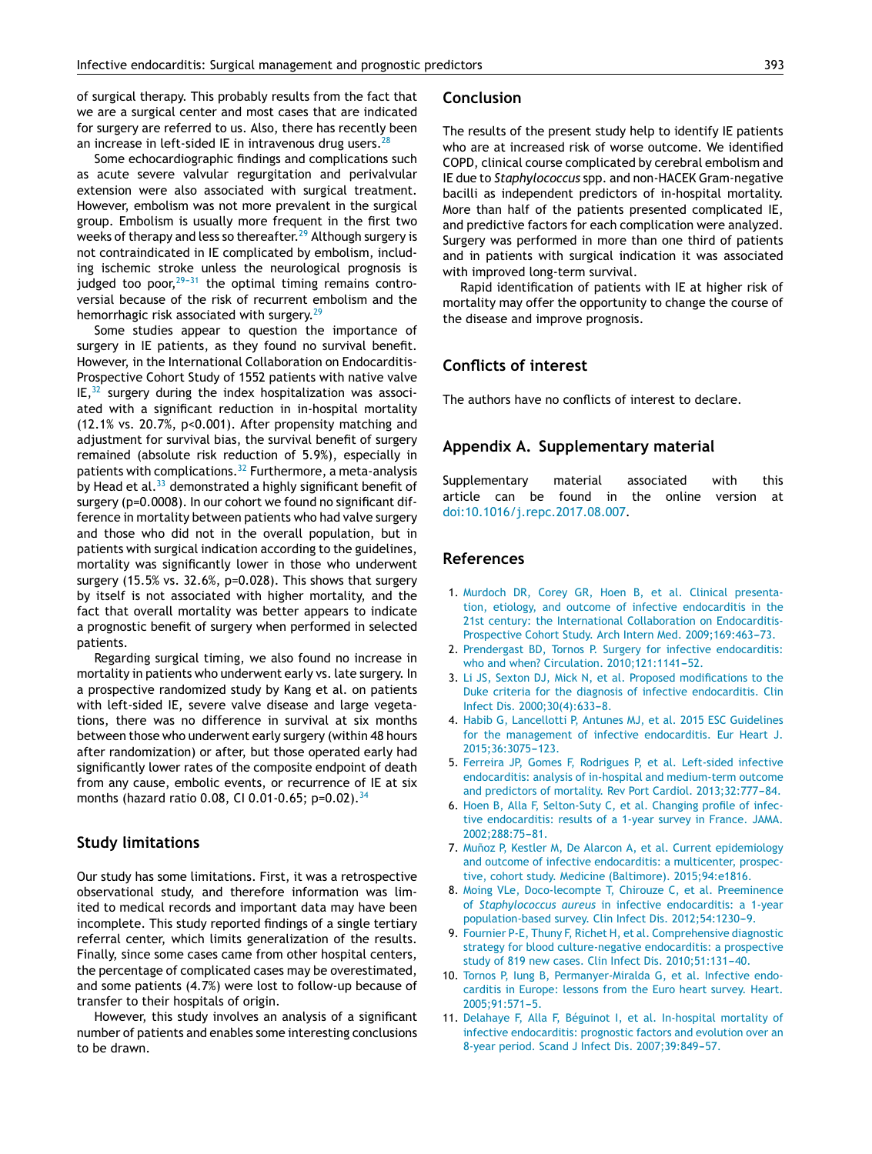<span id="page-6-0"></span>of surgical therapy. This probably results from the fact that we are a surgical center and most cases that are indicated for surgery are referred to us. Also, there has recently been an increase in left-sided IE in intravenous drug users.  $28$ 

Some echocardiographic findings and complications such as acute severe valvular regurgitation and perivalvular extension were also associated with surgical treatment. However, embolism was not more prevalent in the surgical group. Embolism is usually more frequent in the first two weeks of therapy and less so thereafter.<sup>[29](#page-7-0)</sup> Although surgery is not contraindicated in IE complicated by embolism, including ischemic stroke unless the neurological prognosis is judged too poor, $29-31$  the optimal timing remains controversial because of the risk of recurrent embolism and the hemorrhagic risk associated with surgery.<sup>[29](#page-7-0)</sup>

Some studies appear to question the importance of surgery in IE patients, as they found no survival benefit. However, in the International Collaboration on Endocarditis-Prospective Cohort Study of 1552 patients with native valve  $IE<sub>32</sub>$  $IE<sub>32</sub>$  $IE<sub>32</sub>$  surgery during the index hospitalization was associated with a significant reduction in in-hospital mortality (12.1% vs. 20.7%, p<0.001). After propensity matching and adjustment for survival bias, the survival benefit of surgery remained (absolute risk reduction of 5.9%), especially in patients with complications.<sup>[32](#page-7-0)</sup> Furthermore, a meta-analysis by Head et al. $33$  demonstrated a highly significant benefit of surgery (p=0.0008). In our cohort we found no significant difference in mortality between patients who had valve surgery and those who did not in the overall population, but in patients with surgical indication according to the guidelines, mortality was significantly lower in those who underwent surgery (15.5% vs. 32.6%, p=0.028). This shows that surgery by itself is not associated with higher mortality, and the fact that overall mortality was better appears to indicate a prognostic benefit of surgery when performed in selected patients.

Regarding surgical timing, we also found no increase in mortality in patients who underwent early vs. late surgery. In a prospective randomized study by Kang et al. on patients with left-sided IE, severe valve disease and large vegetations, there was no difference in survival at six months between those who underwent early surgery (within 48 hours after randomization) or after, but those operated early had significantly lower rates of the composite endpoint of death from any cause, embolic events, or recurrence of IE at six months (hazard ratio 0.08, CI 0.01-0.65; p=0.02).<sup>[34](#page-7-0)</sup>

## **Study limitations**

Our study has some limitations. First, it was a retrospective observational study, and therefore information was limited to medical records and important data may have been incomplete. This study reported findings of a single tertiary referral center, which limits generalization of the results. Finally, since some cases came from other hospital centers, the percentage of complicated cases may be overestimated, and some patients (4.7%) were lost to follow-up because of transfer to their hospitals of origin.

However, this study involves an analysis of a significant number of patients and enables some interesting conclusions to be drawn.

#### **Conclusion**

The results of the present study help to identify IE patients who are at increased risk of worse outcome. We identified COPD, clinical course complicated by cerebral embolism and IE due to *Staphylococcus* spp. and non-HACEK Gram-negative bacilli as independent predictors of in-hospital mortality. More than half of the patients presented complicated IE, and predictive factors for each complication were analyzed. Surgery was performed in more than one third of patients and in patients with surgical indication it was associated with improved long-term survival.

Rapid identification of patients with IE at higher risk of mortality may offer the opportunity to change the course of the disease and improve prognosis.

# **Conflicts of interest**

The authors have no conflicts of interest to declare.

# **Appendix A. Supplementary material**

Supplementary material associated with this article can be found in the online version at [doi:10.1016/j.repc.2017.08.007.](http://dx.doi.org/10.1016/j.repc.2017.08.007)

# **References**

- 1. [Murdoch](http://refhub.elsevier.com/S0870-2551(17)30053-7/sbref0175) [DR,](http://refhub.elsevier.com/S0870-2551(17)30053-7/sbref0175) [Corey](http://refhub.elsevier.com/S0870-2551(17)30053-7/sbref0175) [GR,](http://refhub.elsevier.com/S0870-2551(17)30053-7/sbref0175) [Hoen](http://refhub.elsevier.com/S0870-2551(17)30053-7/sbref0175) [B,](http://refhub.elsevier.com/S0870-2551(17)30053-7/sbref0175) [et](http://refhub.elsevier.com/S0870-2551(17)30053-7/sbref0175) [al.](http://refhub.elsevier.com/S0870-2551(17)30053-7/sbref0175) [Clinical](http://refhub.elsevier.com/S0870-2551(17)30053-7/sbref0175) [presenta](http://refhub.elsevier.com/S0870-2551(17)30053-7/sbref0175)[tion,](http://refhub.elsevier.com/S0870-2551(17)30053-7/sbref0175) [etiology,](http://refhub.elsevier.com/S0870-2551(17)30053-7/sbref0175) [and](http://refhub.elsevier.com/S0870-2551(17)30053-7/sbref0175) [outcome](http://refhub.elsevier.com/S0870-2551(17)30053-7/sbref0175) [of](http://refhub.elsevier.com/S0870-2551(17)30053-7/sbref0175) [infective](http://refhub.elsevier.com/S0870-2551(17)30053-7/sbref0175) [endocarditis](http://refhub.elsevier.com/S0870-2551(17)30053-7/sbref0175) [in](http://refhub.elsevier.com/S0870-2551(17)30053-7/sbref0175) [the](http://refhub.elsevier.com/S0870-2551(17)30053-7/sbref0175) [21st](http://refhub.elsevier.com/S0870-2551(17)30053-7/sbref0175) [century:](http://refhub.elsevier.com/S0870-2551(17)30053-7/sbref0175) [the](http://refhub.elsevier.com/S0870-2551(17)30053-7/sbref0175) [International](http://refhub.elsevier.com/S0870-2551(17)30053-7/sbref0175) [Collaboration](http://refhub.elsevier.com/S0870-2551(17)30053-7/sbref0175) [on](http://refhub.elsevier.com/S0870-2551(17)30053-7/sbref0175) [Endocarditis-](http://refhub.elsevier.com/S0870-2551(17)30053-7/sbref0175)[Prospective](http://refhub.elsevier.com/S0870-2551(17)30053-7/sbref0175) [Cohort](http://refhub.elsevier.com/S0870-2551(17)30053-7/sbref0175) [Study.](http://refhub.elsevier.com/S0870-2551(17)30053-7/sbref0175) [Arch](http://refhub.elsevier.com/S0870-2551(17)30053-7/sbref0175) [Intern](http://refhub.elsevier.com/S0870-2551(17)30053-7/sbref0175) [Med.](http://refhub.elsevier.com/S0870-2551(17)30053-7/sbref0175) 2009;169:463-73.
- 2. [Prendergast](http://refhub.elsevier.com/S0870-2551(17)30053-7/sbref0180) [BD,](http://refhub.elsevier.com/S0870-2551(17)30053-7/sbref0180) [Tornos](http://refhub.elsevier.com/S0870-2551(17)30053-7/sbref0180) [P.](http://refhub.elsevier.com/S0870-2551(17)30053-7/sbref0180) [Surgery](http://refhub.elsevier.com/S0870-2551(17)30053-7/sbref0180) [for](http://refhub.elsevier.com/S0870-2551(17)30053-7/sbref0180) [infective](http://refhub.elsevier.com/S0870-2551(17)30053-7/sbref0180) [endocarditis:](http://refhub.elsevier.com/S0870-2551(17)30053-7/sbref0180) [who](http://refhub.elsevier.com/S0870-2551(17)30053-7/sbref0180) [and](http://refhub.elsevier.com/S0870-2551(17)30053-7/sbref0180) [when?](http://refhub.elsevier.com/S0870-2551(17)30053-7/sbref0180) [Circulation.](http://refhub.elsevier.com/S0870-2551(17)30053-7/sbref0180) 2010;121:1141-52.
- 3. [Li](http://refhub.elsevier.com/S0870-2551(17)30053-7/sbref0185) [JS,](http://refhub.elsevier.com/S0870-2551(17)30053-7/sbref0185) [Sexton](http://refhub.elsevier.com/S0870-2551(17)30053-7/sbref0185) [DJ,](http://refhub.elsevier.com/S0870-2551(17)30053-7/sbref0185) [Mick](http://refhub.elsevier.com/S0870-2551(17)30053-7/sbref0185) [N,](http://refhub.elsevier.com/S0870-2551(17)30053-7/sbref0185) [et](http://refhub.elsevier.com/S0870-2551(17)30053-7/sbref0185) [al.](http://refhub.elsevier.com/S0870-2551(17)30053-7/sbref0185) [Proposed](http://refhub.elsevier.com/S0870-2551(17)30053-7/sbref0185) [modifications](http://refhub.elsevier.com/S0870-2551(17)30053-7/sbref0185) [to](http://refhub.elsevier.com/S0870-2551(17)30053-7/sbref0185) [the](http://refhub.elsevier.com/S0870-2551(17)30053-7/sbref0185) [Duke](http://refhub.elsevier.com/S0870-2551(17)30053-7/sbref0185) [criteria](http://refhub.elsevier.com/S0870-2551(17)30053-7/sbref0185) [for](http://refhub.elsevier.com/S0870-2551(17)30053-7/sbref0185) [the](http://refhub.elsevier.com/S0870-2551(17)30053-7/sbref0185) [diagnosis](http://refhub.elsevier.com/S0870-2551(17)30053-7/sbref0185) [of](http://refhub.elsevier.com/S0870-2551(17)30053-7/sbref0185) [infective](http://refhub.elsevier.com/S0870-2551(17)30053-7/sbref0185) [endocarditis.](http://refhub.elsevier.com/S0870-2551(17)30053-7/sbref0185) [Clin](http://refhub.elsevier.com/S0870-2551(17)30053-7/sbref0185) [Infect](http://refhub.elsevier.com/S0870-2551(17)30053-7/sbref0185) [Dis.](http://refhub.elsevier.com/S0870-2551(17)30053-7/sbref0185) 2000;30(4):633-8.
- 4. [Habib](http://refhub.elsevier.com/S0870-2551(17)30053-7/sbref0190) [G,](http://refhub.elsevier.com/S0870-2551(17)30053-7/sbref0190) [Lancellotti](http://refhub.elsevier.com/S0870-2551(17)30053-7/sbref0190) [P,](http://refhub.elsevier.com/S0870-2551(17)30053-7/sbref0190) [Antunes](http://refhub.elsevier.com/S0870-2551(17)30053-7/sbref0190) [MJ,](http://refhub.elsevier.com/S0870-2551(17)30053-7/sbref0190) [et](http://refhub.elsevier.com/S0870-2551(17)30053-7/sbref0190) [al.](http://refhub.elsevier.com/S0870-2551(17)30053-7/sbref0190) [2015](http://refhub.elsevier.com/S0870-2551(17)30053-7/sbref0190) [ESC](http://refhub.elsevier.com/S0870-2551(17)30053-7/sbref0190) [Guidelines](http://refhub.elsevier.com/S0870-2551(17)30053-7/sbref0190) [for](http://refhub.elsevier.com/S0870-2551(17)30053-7/sbref0190) [the](http://refhub.elsevier.com/S0870-2551(17)30053-7/sbref0190) [management](http://refhub.elsevier.com/S0870-2551(17)30053-7/sbref0190) [of](http://refhub.elsevier.com/S0870-2551(17)30053-7/sbref0190) [infective](http://refhub.elsevier.com/S0870-2551(17)30053-7/sbref0190) [endocarditis.](http://refhub.elsevier.com/S0870-2551(17)30053-7/sbref0190) [Eur](http://refhub.elsevier.com/S0870-2551(17)30053-7/sbref0190) [Heart](http://refhub.elsevier.com/S0870-2551(17)30053-7/sbref0190) [J.](http://refhub.elsevier.com/S0870-2551(17)30053-7/sbref0190) 2015;36:3075-123.
- 5. [Ferreira](http://refhub.elsevier.com/S0870-2551(17)30053-7/sbref0195) [JP,](http://refhub.elsevier.com/S0870-2551(17)30053-7/sbref0195) [Gomes](http://refhub.elsevier.com/S0870-2551(17)30053-7/sbref0195) [F,](http://refhub.elsevier.com/S0870-2551(17)30053-7/sbref0195) [Rodrigues](http://refhub.elsevier.com/S0870-2551(17)30053-7/sbref0195) [P,](http://refhub.elsevier.com/S0870-2551(17)30053-7/sbref0195) [et](http://refhub.elsevier.com/S0870-2551(17)30053-7/sbref0195) [al.](http://refhub.elsevier.com/S0870-2551(17)30053-7/sbref0195) [Left-sided](http://refhub.elsevier.com/S0870-2551(17)30053-7/sbref0195) [infective](http://refhub.elsevier.com/S0870-2551(17)30053-7/sbref0195) [endocarditis:](http://refhub.elsevier.com/S0870-2551(17)30053-7/sbref0195) [analysis](http://refhub.elsevier.com/S0870-2551(17)30053-7/sbref0195) [of](http://refhub.elsevier.com/S0870-2551(17)30053-7/sbref0195) [in-hospital](http://refhub.elsevier.com/S0870-2551(17)30053-7/sbref0195) [and](http://refhub.elsevier.com/S0870-2551(17)30053-7/sbref0195) [medium-term](http://refhub.elsevier.com/S0870-2551(17)30053-7/sbref0195) [outcome](http://refhub.elsevier.com/S0870-2551(17)30053-7/sbref0195) [and](http://refhub.elsevier.com/S0870-2551(17)30053-7/sbref0195) [predictors](http://refhub.elsevier.com/S0870-2551(17)30053-7/sbref0195) [of](http://refhub.elsevier.com/S0870-2551(17)30053-7/sbref0195) [mortality.](http://refhub.elsevier.com/S0870-2551(17)30053-7/sbref0195) [Rev](http://refhub.elsevier.com/S0870-2551(17)30053-7/sbref0195) [Port](http://refhub.elsevier.com/S0870-2551(17)30053-7/sbref0195) [Cardiol.](http://refhub.elsevier.com/S0870-2551(17)30053-7/sbref0195) 2013;32:777-84.
- 6. [Hoen](http://refhub.elsevier.com/S0870-2551(17)30053-7/sbref0200) [B,](http://refhub.elsevier.com/S0870-2551(17)30053-7/sbref0200) [Alla](http://refhub.elsevier.com/S0870-2551(17)30053-7/sbref0200) [F,](http://refhub.elsevier.com/S0870-2551(17)30053-7/sbref0200) [Selton-Suty](http://refhub.elsevier.com/S0870-2551(17)30053-7/sbref0200) [C,](http://refhub.elsevier.com/S0870-2551(17)30053-7/sbref0200) [et](http://refhub.elsevier.com/S0870-2551(17)30053-7/sbref0200) [al.](http://refhub.elsevier.com/S0870-2551(17)30053-7/sbref0200) [Changing](http://refhub.elsevier.com/S0870-2551(17)30053-7/sbref0200) [profile](http://refhub.elsevier.com/S0870-2551(17)30053-7/sbref0200) [of](http://refhub.elsevier.com/S0870-2551(17)30053-7/sbref0200) [infec](http://refhub.elsevier.com/S0870-2551(17)30053-7/sbref0200)[tive](http://refhub.elsevier.com/S0870-2551(17)30053-7/sbref0200) [endocarditis:](http://refhub.elsevier.com/S0870-2551(17)30053-7/sbref0200) [results](http://refhub.elsevier.com/S0870-2551(17)30053-7/sbref0200) [of](http://refhub.elsevier.com/S0870-2551(17)30053-7/sbref0200) [a](http://refhub.elsevier.com/S0870-2551(17)30053-7/sbref0200) [1-year](http://refhub.elsevier.com/S0870-2551(17)30053-7/sbref0200) [survey](http://refhub.elsevier.com/S0870-2551(17)30053-7/sbref0200) [in](http://refhub.elsevier.com/S0870-2551(17)30053-7/sbref0200) [France.](http://refhub.elsevier.com/S0870-2551(17)30053-7/sbref0200) [JAMA.](http://refhub.elsevier.com/S0870-2551(17)30053-7/sbref0200) 2002:288:75[-81.](http://refhub.elsevier.com/S0870-2551(17)30053-7/sbref0200)
- 7. Muñoz [P,](http://refhub.elsevier.com/S0870-2551(17)30053-7/sbref0205) [Kestler](http://refhub.elsevier.com/S0870-2551(17)30053-7/sbref0205) [M,](http://refhub.elsevier.com/S0870-2551(17)30053-7/sbref0205) [De](http://refhub.elsevier.com/S0870-2551(17)30053-7/sbref0205) [Alarcon](http://refhub.elsevier.com/S0870-2551(17)30053-7/sbref0205) [A,](http://refhub.elsevier.com/S0870-2551(17)30053-7/sbref0205) [et](http://refhub.elsevier.com/S0870-2551(17)30053-7/sbref0205) [al.](http://refhub.elsevier.com/S0870-2551(17)30053-7/sbref0205) [Current](http://refhub.elsevier.com/S0870-2551(17)30053-7/sbref0205) [epidemiology](http://refhub.elsevier.com/S0870-2551(17)30053-7/sbref0205) [and](http://refhub.elsevier.com/S0870-2551(17)30053-7/sbref0205) [outcome](http://refhub.elsevier.com/S0870-2551(17)30053-7/sbref0205) [of](http://refhub.elsevier.com/S0870-2551(17)30053-7/sbref0205) [infective](http://refhub.elsevier.com/S0870-2551(17)30053-7/sbref0205) [endocarditis:](http://refhub.elsevier.com/S0870-2551(17)30053-7/sbref0205) [a](http://refhub.elsevier.com/S0870-2551(17)30053-7/sbref0205) [multicenter,](http://refhub.elsevier.com/S0870-2551(17)30053-7/sbref0205) [prospec](http://refhub.elsevier.com/S0870-2551(17)30053-7/sbref0205)[tive,](http://refhub.elsevier.com/S0870-2551(17)30053-7/sbref0205) [cohort](http://refhub.elsevier.com/S0870-2551(17)30053-7/sbref0205) [study.](http://refhub.elsevier.com/S0870-2551(17)30053-7/sbref0205) [Medicine](http://refhub.elsevier.com/S0870-2551(17)30053-7/sbref0205) [\(Baltimore\).](http://refhub.elsevier.com/S0870-2551(17)30053-7/sbref0205) [2015;94:e1816.](http://refhub.elsevier.com/S0870-2551(17)30053-7/sbref0205)
- 8. [Moing](http://refhub.elsevier.com/S0870-2551(17)30053-7/sbref0210) [VLe,](http://refhub.elsevier.com/S0870-2551(17)30053-7/sbref0210) [Doco-lecompte](http://refhub.elsevier.com/S0870-2551(17)30053-7/sbref0210) [T,](http://refhub.elsevier.com/S0870-2551(17)30053-7/sbref0210) [Chirouze](http://refhub.elsevier.com/S0870-2551(17)30053-7/sbref0210) [C,](http://refhub.elsevier.com/S0870-2551(17)30053-7/sbref0210) [et](http://refhub.elsevier.com/S0870-2551(17)30053-7/sbref0210) [al.](http://refhub.elsevier.com/S0870-2551(17)30053-7/sbref0210) [Preeminence](http://refhub.elsevier.com/S0870-2551(17)30053-7/sbref0210) [of](http://refhub.elsevier.com/S0870-2551(17)30053-7/sbref0210) *[Staphylococcus](http://refhub.elsevier.com/S0870-2551(17)30053-7/sbref0210) [aureus](http://refhub.elsevier.com/S0870-2551(17)30053-7/sbref0210)* [in](http://refhub.elsevier.com/S0870-2551(17)30053-7/sbref0210) [infective](http://refhub.elsevier.com/S0870-2551(17)30053-7/sbref0210) [endocarditis:](http://refhub.elsevier.com/S0870-2551(17)30053-7/sbref0210) [a](http://refhub.elsevier.com/S0870-2551(17)30053-7/sbref0210) [1-year](http://refhub.elsevier.com/S0870-2551(17)30053-7/sbref0210) [population-based](http://refhub.elsevier.com/S0870-2551(17)30053-7/sbref0210) [survey.](http://refhub.elsevier.com/S0870-2551(17)30053-7/sbref0210) [Clin](http://refhub.elsevier.com/S0870-2551(17)30053-7/sbref0210) [Infect](http://refhub.elsevier.com/S0870-2551(17)30053-7/sbref0210) [Dis.](http://refhub.elsevier.com/S0870-2551(17)30053-7/sbref0210) [2012;54:1230-](http://refhub.elsevier.com/S0870-2551(17)30053-7/sbref0210)[9.](http://refhub.elsevier.com/S0870-2551(17)30053-7/sbref0210)
- 9. [Fournier](http://refhub.elsevier.com/S0870-2551(17)30053-7/sbref0215) [P-E,](http://refhub.elsevier.com/S0870-2551(17)30053-7/sbref0215) [Thuny](http://refhub.elsevier.com/S0870-2551(17)30053-7/sbref0215) [F,](http://refhub.elsevier.com/S0870-2551(17)30053-7/sbref0215) [Richet](http://refhub.elsevier.com/S0870-2551(17)30053-7/sbref0215) [H,](http://refhub.elsevier.com/S0870-2551(17)30053-7/sbref0215) [et](http://refhub.elsevier.com/S0870-2551(17)30053-7/sbref0215) [al.](http://refhub.elsevier.com/S0870-2551(17)30053-7/sbref0215) [Comprehensive](http://refhub.elsevier.com/S0870-2551(17)30053-7/sbref0215) [diagnostic](http://refhub.elsevier.com/S0870-2551(17)30053-7/sbref0215) [strategy](http://refhub.elsevier.com/S0870-2551(17)30053-7/sbref0215) [for](http://refhub.elsevier.com/S0870-2551(17)30053-7/sbref0215) [blood](http://refhub.elsevier.com/S0870-2551(17)30053-7/sbref0215) [culture-negative](http://refhub.elsevier.com/S0870-2551(17)30053-7/sbref0215) [endocarditis:](http://refhub.elsevier.com/S0870-2551(17)30053-7/sbref0215) [a](http://refhub.elsevier.com/S0870-2551(17)30053-7/sbref0215) [prospective](http://refhub.elsevier.com/S0870-2551(17)30053-7/sbref0215) [study](http://refhub.elsevier.com/S0870-2551(17)30053-7/sbref0215) [of](http://refhub.elsevier.com/S0870-2551(17)30053-7/sbref0215) [819](http://refhub.elsevier.com/S0870-2551(17)30053-7/sbref0215) [new](http://refhub.elsevier.com/S0870-2551(17)30053-7/sbref0215) [cases.](http://refhub.elsevier.com/S0870-2551(17)30053-7/sbref0215) [Clin](http://refhub.elsevier.com/S0870-2551(17)30053-7/sbref0215) [Infect](http://refhub.elsevier.com/S0870-2551(17)30053-7/sbref0215) [Dis.](http://refhub.elsevier.com/S0870-2551(17)30053-7/sbref0215) 2010;51:131-40.
- 10. [Tornos](http://refhub.elsevier.com/S0870-2551(17)30053-7/sbref0220) [P,](http://refhub.elsevier.com/S0870-2551(17)30053-7/sbref0220) [Iung](http://refhub.elsevier.com/S0870-2551(17)30053-7/sbref0220) [B,](http://refhub.elsevier.com/S0870-2551(17)30053-7/sbref0220) [Permanyer-Miralda](http://refhub.elsevier.com/S0870-2551(17)30053-7/sbref0220) [G,](http://refhub.elsevier.com/S0870-2551(17)30053-7/sbref0220) [et](http://refhub.elsevier.com/S0870-2551(17)30053-7/sbref0220) [al.](http://refhub.elsevier.com/S0870-2551(17)30053-7/sbref0220) [Infective](http://refhub.elsevier.com/S0870-2551(17)30053-7/sbref0220) [endo](http://refhub.elsevier.com/S0870-2551(17)30053-7/sbref0220)[carditis](http://refhub.elsevier.com/S0870-2551(17)30053-7/sbref0220) [in](http://refhub.elsevier.com/S0870-2551(17)30053-7/sbref0220) [Europe:](http://refhub.elsevier.com/S0870-2551(17)30053-7/sbref0220) [lessons](http://refhub.elsevier.com/S0870-2551(17)30053-7/sbref0220) [from](http://refhub.elsevier.com/S0870-2551(17)30053-7/sbref0220) [the](http://refhub.elsevier.com/S0870-2551(17)30053-7/sbref0220) [Euro](http://refhub.elsevier.com/S0870-2551(17)30053-7/sbref0220) [heart](http://refhub.elsevier.com/S0870-2551(17)30053-7/sbref0220) [survey.](http://refhub.elsevier.com/S0870-2551(17)30053-7/sbref0220) [Heart.](http://refhub.elsevier.com/S0870-2551(17)30053-7/sbref0220) 2005;91:571-5.
- 11. [Delahaye](http://refhub.elsevier.com/S0870-2551(17)30053-7/sbref0225) [F,](http://refhub.elsevier.com/S0870-2551(17)30053-7/sbref0225) [Alla](http://refhub.elsevier.com/S0870-2551(17)30053-7/sbref0225) [F,](http://refhub.elsevier.com/S0870-2551(17)30053-7/sbref0225) [Béguinot](http://refhub.elsevier.com/S0870-2551(17)30053-7/sbref0225) [I,](http://refhub.elsevier.com/S0870-2551(17)30053-7/sbref0225) [et](http://refhub.elsevier.com/S0870-2551(17)30053-7/sbref0225) [al.](http://refhub.elsevier.com/S0870-2551(17)30053-7/sbref0225) [In-hospital](http://refhub.elsevier.com/S0870-2551(17)30053-7/sbref0225) [mortality](http://refhub.elsevier.com/S0870-2551(17)30053-7/sbref0225) [of](http://refhub.elsevier.com/S0870-2551(17)30053-7/sbref0225) [infective](http://refhub.elsevier.com/S0870-2551(17)30053-7/sbref0225) [endocarditis:](http://refhub.elsevier.com/S0870-2551(17)30053-7/sbref0225) [prognostic](http://refhub.elsevier.com/S0870-2551(17)30053-7/sbref0225) [factors](http://refhub.elsevier.com/S0870-2551(17)30053-7/sbref0225) [and](http://refhub.elsevier.com/S0870-2551(17)30053-7/sbref0225) [evolution](http://refhub.elsevier.com/S0870-2551(17)30053-7/sbref0225) [over](http://refhub.elsevier.com/S0870-2551(17)30053-7/sbref0225) [an](http://refhub.elsevier.com/S0870-2551(17)30053-7/sbref0225) [8-year](http://refhub.elsevier.com/S0870-2551(17)30053-7/sbref0225) [period.](http://refhub.elsevier.com/S0870-2551(17)30053-7/sbref0225) [Scand](http://refhub.elsevier.com/S0870-2551(17)30053-7/sbref0225) [J](http://refhub.elsevier.com/S0870-2551(17)30053-7/sbref0225) [Infect](http://refhub.elsevier.com/S0870-2551(17)30053-7/sbref0225) [Dis.](http://refhub.elsevier.com/S0870-2551(17)30053-7/sbref0225) 2007;39:849-57.